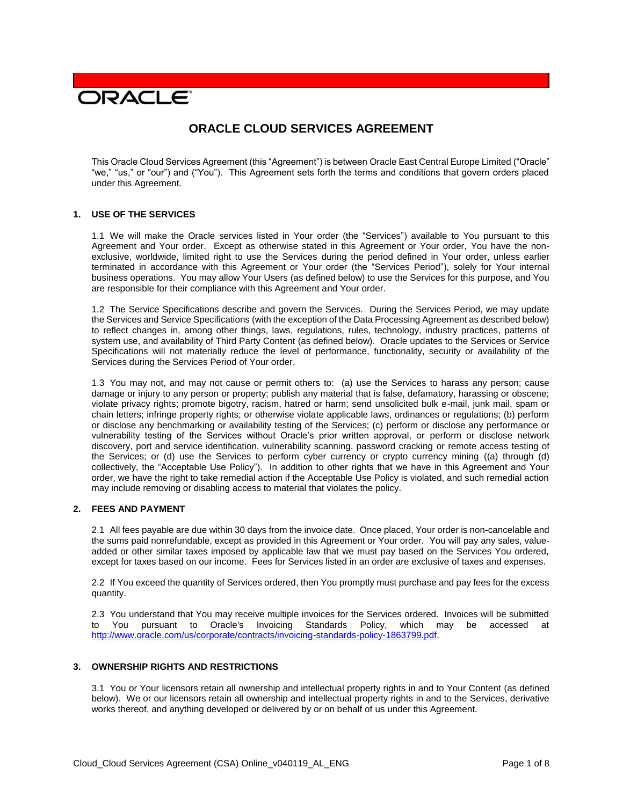# **DRACLE**

# **ORACLE CLOUD SERVICES AGREEMENT**

This Oracle Cloud Services Agreement (this "Agreement") is between Oracle East Central Europe Limited ("Oracle" "we," "us," or "our") and ("You"). This Agreement sets forth the terms and conditions that govern orders placed under this Agreement.

#### **1. USE OF THE SERVICES**

1.1 We will make the Oracle services listed in Your order (the "Services") available to You pursuant to this Agreement and Your order. Except as otherwise stated in this Agreement or Your order, You have the nonexclusive, worldwide, limited right to use the Services during the period defined in Your order, unless earlier terminated in accordance with this Agreement or Your order (the "Services Period"), solely for Your internal business operations. You may allow Your Users (as defined below) to use the Services for this purpose, and You are responsible for their compliance with this Agreement and Your order.

1.2 The Service Specifications describe and govern the Services. During the Services Period, we may update the Services and Service Specifications (with the exception of the Data Processing Agreement as described below) to reflect changes in, among other things, laws, regulations, rules, technology, industry practices, patterns of system use, and availability of Third Party Content (as defined below). Oracle updates to the Services or Service Specifications will not materially reduce the level of performance, functionality, security or availability of the Services during the Services Period of Your order.

1.3 You may not, and may not cause or permit others to: (a) use the Services to harass any person; cause damage or injury to any person or property; publish any material that is false, defamatory, harassing or obscene; violate privacy rights; promote bigotry, racism, hatred or harm; send unsolicited bulk e-mail, junk mail, spam or chain letters; infringe property rights; or otherwise violate applicable laws, ordinances or regulations; (b) perform or disclose any benchmarking or availability testing of the Services; (c) perform or disclose any performance or vulnerability testing of the Services without Oracle's prior written approval, or perform or disclose network discovery, port and service identification, vulnerability scanning, password cracking or remote access testing of the Services; or (d) use the Services to perform cyber currency or crypto currency mining ((a) through (d) collectively, the "Acceptable Use Policy"). In addition to other rights that we have in this Agreement and Your order, we have the right to take remedial action if the Acceptable Use Policy is violated, and such remedial action may include removing or disabling access to material that violates the policy.

# **2. FEES AND PAYMENT**

2.1 All fees payable are due within 30 days from the invoice date. Once placed, Your order is non-cancelable and the sums paid nonrefundable, except as provided in this Agreement or Your order. You will pay any sales, valueadded or other similar taxes imposed by applicable law that we must pay based on the Services You ordered, except for taxes based on our income. Fees for Services listed in an order are exclusive of taxes and expenses.

2.2 If You exceed the quantity of Services ordered, then You promptly must purchase and pay fees for the excess quantity.

2.3 You understand that You may receive multiple invoices for the Services ordered. Invoices will be submitted to You pursuant to Oracle's Invoicing Standards Policy, which may be accessed at [http://www.oracle.com/us/corporate/contracts/invoicing-standards-policy-1863799.pdf.](http://www.oracle.com/us/corporate/contracts/invoicing-standards-policy-1863799.pdf)

#### **3. OWNERSHIP RIGHTS AND RESTRICTIONS**

3.1 You or Your licensors retain all ownership and intellectual property rights in and to Your Content (as defined below). We or our licensors retain all ownership and intellectual property rights in and to the Services, derivative works thereof, and anything developed or delivered by or on behalf of us under this Agreement.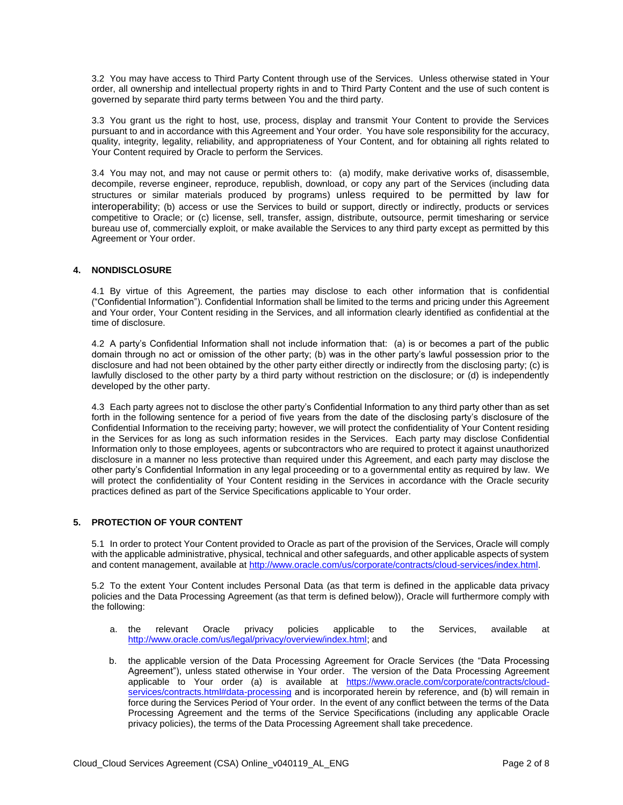3.2 You may have access to Third Party Content through use of the Services. Unless otherwise stated in Your order, all ownership and intellectual property rights in and to Third Party Content and the use of such content is governed by separate third party terms between You and the third party.

3.3 You grant us the right to host, use, process, display and transmit Your Content to provide the Services pursuant to and in accordance with this Agreement and Your order. You have sole responsibility for the accuracy, quality, integrity, legality, reliability, and appropriateness of Your Content, and for obtaining all rights related to Your Content required by Oracle to perform the Services.

3.4 You may not, and may not cause or permit others to: (a) modify, make derivative works of, disassemble, decompile, reverse engineer, reproduce, republish, download, or copy any part of the Services (including data structures or similar materials produced by programs) unless required to be permitted by law for interoperability; (b) access or use the Services to build or support, directly or indirectly, products or services competitive to Oracle; or (c) license, sell, transfer, assign, distribute, outsource, permit timesharing or service bureau use of, commercially exploit, or make available the Services to any third party except as permitted by this Agreement or Your order.

#### **4. NONDISCLOSURE**

4.1 By virtue of this Agreement, the parties may disclose to each other information that is confidential ("Confidential Information"). Confidential Information shall be limited to the terms and pricing under this Agreement and Your order, Your Content residing in the Services, and all information clearly identified as confidential at the time of disclosure.

4.2 A party's Confidential Information shall not include information that: (a) is or becomes a part of the public domain through no act or omission of the other party; (b) was in the other party's lawful possession prior to the disclosure and had not been obtained by the other party either directly or indirectly from the disclosing party; (c) is lawfully disclosed to the other party by a third party without restriction on the disclosure; or (d) is independently developed by the other party.

4.3 Each party agrees not to disclose the other party's Confidential Information to any third party other than as set forth in the following sentence for a period of five years from the date of the disclosing party's disclosure of the Confidential Information to the receiving party; however, we will protect the confidentiality of Your Content residing in the Services for as long as such information resides in the Services. Each party may disclose Confidential Information only to those employees, agents or subcontractors who are required to protect it against unauthorized disclosure in a manner no less protective than required under this Agreement, and each party may disclose the other party's Confidential Information in any legal proceeding or to a governmental entity as required by law. We will protect the confidentiality of Your Content residing in the Services in accordance with the Oracle security practices defined as part of the Service Specifications applicable to Your order.

# **5. PROTECTION OF YOUR CONTENT**

5.1 In order to protect Your Content provided to Oracle as part of the provision of the Services, Oracle will comply with the applicable administrative, physical, technical and other safeguards, and other applicable aspects of system and content management, available at [http://www.oracle.com/us/corporate/contracts/cloud-services/index.html.](http://www.oracle.com/us/corporate/contracts/cloud-services/index.html)

5.2 To the extent Your Content includes Personal Data (as that term is defined in the applicable data privacy policies and the Data Processing Agreement (as that term is defined below)), Oracle will furthermore comply with the following:

- a. the relevant Oracle privacy policies applicable to the Services, available at [http://www.oracle.com/us/legal/privacy/overview/index.html;](http://www.oracle.com/us/legal/privacy/overview/index.html) and
- b. the applicable version of the Data Processing Agreement for Oracle Services (the "Data Processing Agreement"), unless stated otherwise in Your order. The version of the Data Processing Agreement applicable to Your order (a) is available at [https://www.oracle.com/corporate/contracts/cloud](https://www.oracle.com/corporate/contracts/cloud-services/contracts.html#data-processing)[services/contracts.html#data-processing](https://www.oracle.com/corporate/contracts/cloud-services/contracts.html#data-processing) and is incorporated herein by reference, and (b) will remain in force during the Services Period of Your order. In the event of any conflict between the terms of the Data Processing Agreement and the terms of the Service Specifications (including any applicable Oracle privacy policies), the terms of the Data Processing Agreement shall take precedence.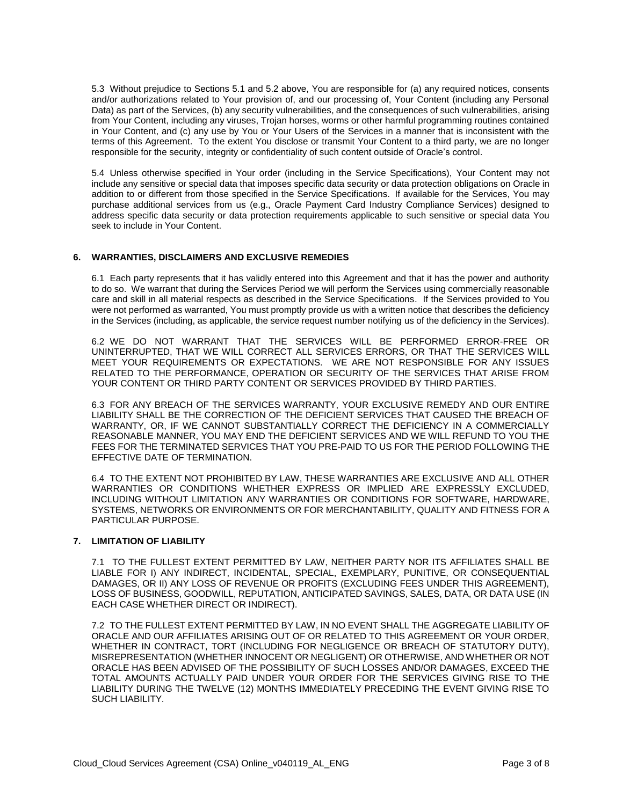5.3 Without prejudice to Sections 5.1 and 5.2 above, You are responsible for (a) any required notices, consents and/or authorizations related to Your provision of, and our processing of, Your Content (including any Personal Data) as part of the Services, (b) any security vulnerabilities, and the consequences of such vulnerabilities, arising from Your Content, including any viruses, Trojan horses, worms or other harmful programming routines contained in Your Content, and (c) any use by You or Your Users of the Services in a manner that is inconsistent with the terms of this Agreement. To the extent You disclose or transmit Your Content to a third party, we are no longer responsible for the security, integrity or confidentiality of such content outside of Oracle's control.

5.4 Unless otherwise specified in Your order (including in the Service Specifications), Your Content may not include any sensitive or special data that imposes specific data security or data protection obligations on Oracle in addition to or different from those specified in the Service Specifications. If available for the Services, You may purchase additional services from us (e.g., Oracle Payment Card Industry Compliance Services) designed to address specific data security or data protection requirements applicable to such sensitive or special data You seek to include in Your Content.

# **6. WARRANTIES, DISCLAIMERS AND EXCLUSIVE REMEDIES**

6.1 Each party represents that it has validly entered into this Agreement and that it has the power and authority to do so. We warrant that during the Services Period we will perform the Services using commercially reasonable care and skill in all material respects as described in the Service Specifications. If the Services provided to You were not performed as warranted, You must promptly provide us with a written notice that describes the deficiency in the Services (including, as applicable, the service request number notifying us of the deficiency in the Services).

6.2 WE DO NOT WARRANT THAT THE SERVICES WILL BE PERFORMED ERROR-FREE OR UNINTERRUPTED, THAT WE WILL CORRECT ALL SERVICES ERRORS, OR THAT THE SERVICES WILL MEET YOUR REQUIREMENTS OR EXPECTATIONS. WE ARE NOT RESPONSIBLE FOR ANY ISSUES RELATED TO THE PERFORMANCE, OPERATION OR SECURITY OF THE SERVICES THAT ARISE FROM YOUR CONTENT OR THIRD PARTY CONTENT OR SERVICES PROVIDED BY THIRD PARTIES.

6.3 FOR ANY BREACH OF THE SERVICES WARRANTY, YOUR EXCLUSIVE REMEDY AND OUR ENTIRE LIABILITY SHALL BE THE CORRECTION OF THE DEFICIENT SERVICES THAT CAUSED THE BREACH OF WARRANTY, OR, IF WE CANNOT SUBSTANTIALLY CORRECT THE DEFICIENCY IN A COMMERCIALLY REASONABLE MANNER, YOU MAY END THE DEFICIENT SERVICES AND WE WILL REFUND TO YOU THE FEES FOR THE TERMINATED SERVICES THAT YOU PRE-PAID TO US FOR THE PERIOD FOLLOWING THE EFFECTIVE DATE OF TERMINATION.

6.4 TO THE EXTENT NOT PROHIBITED BY LAW, THESE WARRANTIES ARE EXCLUSIVE AND ALL OTHER WARRANTIES OR CONDITIONS WHETHER EXPRESS OR IMPLIED ARE EXPRESSLY EXCLUDED, INCLUDING WITHOUT LIMITATION ANY WARRANTIES OR CONDITIONS FOR SOFTWARE, HARDWARE, SYSTEMS, NETWORKS OR ENVIRONMENTS OR FOR MERCHANTABILITY, QUALITY AND FITNESS FOR A PARTICULAR PURPOSE.

#### **7. LIMITATION OF LIABILITY**

7.1 TO THE FULLEST EXTENT PERMITTED BY LAW, NEITHER PARTY NOR ITS AFFILIATES SHALL BE LIABLE FOR I) ANY INDIRECT, INCIDENTAL, SPECIAL, EXEMPLARY, PUNITIVE, OR CONSEQUENTIAL DAMAGES, OR II) ANY LOSS OF REVENUE OR PROFITS (EXCLUDING FEES UNDER THIS AGREEMENT), LOSS OF BUSINESS, GOODWILL, REPUTATION, ANTICIPATED SAVINGS, SALES, DATA, OR DATA USE (IN EACH CASE WHETHER DIRECT OR INDIRECT).

7.2 TO THE FULLEST EXTENT PERMITTED BY LAW, IN NO EVENT SHALL THE AGGREGATE LIABILITY OF ORACLE AND OUR AFFILIATES ARISING OUT OF OR RELATED TO THIS AGREEMENT OR YOUR ORDER, WHETHER IN CONTRACT, TORT (INCLUDING FOR NEGLIGENCE OR BREACH OF STATUTORY DUTY), MISREPRESENTATION (WHETHER INNOCENT OR NEGLIGENT) OR OTHERWISE, AND WHETHER OR NOT ORACLE HAS BEEN ADVISED OF THE POSSIBILITY OF SUCH LOSSES AND/OR DAMAGES, EXCEED THE TOTAL AMOUNTS ACTUALLY PAID UNDER YOUR ORDER FOR THE SERVICES GIVING RISE TO THE LIABILITY DURING THE TWELVE (12) MONTHS IMMEDIATELY PRECEDING THE EVENT GIVING RISE TO SUCH LIABILITY.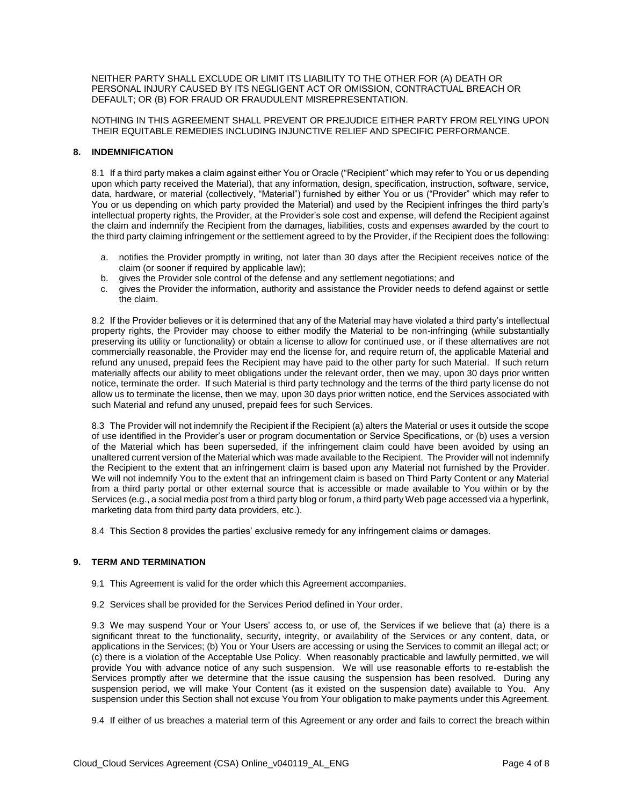NEITHER PARTY SHALL EXCLUDE OR LIMIT ITS LIABILITY TO THE OTHER FOR (A) DEATH OR PERSONAL INJURY CAUSED BY ITS NEGLIGENT ACT OR OMISSION, CONTRACTUAL BREACH OR DEFAULT; OR (B) FOR FRAUD OR FRAUDULENT MISREPRESENTATION.

NOTHING IN THIS AGREEMENT SHALL PREVENT OR PREJUDICE EITHER PARTY FROM RELYING UPON THEIR EQUITABLE REMEDIES INCLUDING INJUNCTIVE RELIEF AND SPECIFIC PERFORMANCE.

#### **8. INDEMNIFICATION**

8.1 If a third party makes a claim against either You or Oracle ("Recipient" which may refer to You or us depending upon which party received the Material), that any information, design, specification, instruction, software, service, data, hardware, or material (collectively, "Material") furnished by either You or us ("Provider" which may refer to You or us depending on which party provided the Material) and used by the Recipient infringes the third party's intellectual property rights, the Provider, at the Provider's sole cost and expense, will defend the Recipient against the claim and indemnify the Recipient from the damages, liabilities, costs and expenses awarded by the court to the third party claiming infringement or the settlement agreed to by the Provider, if the Recipient does the following:

- a. notifies the Provider promptly in writing, not later than 30 days after the Recipient receives notice of the claim (or sooner if required by applicable law);
- b. gives the Provider sole control of the defense and any settlement negotiations; and
- c. gives the Provider the information, authority and assistance the Provider needs to defend against or settle the claim.

8.2 If the Provider believes or it is determined that any of the Material may have violated a third party's intellectual property rights, the Provider may choose to either modify the Material to be non-infringing (while substantially preserving its utility or functionality) or obtain a license to allow for continued use, or if these alternatives are not commercially reasonable, the Provider may end the license for, and require return of, the applicable Material and refund any unused, prepaid fees the Recipient may have paid to the other party for such Material. If such return materially affects our ability to meet obligations under the relevant order, then we may, upon 30 days prior written notice, terminate the order. If such Material is third party technology and the terms of the third party license do not allow us to terminate the license, then we may, upon 30 days prior written notice, end the Services associated with such Material and refund any unused, prepaid fees for such Services.

8.3 The Provider will not indemnify the Recipient if the Recipient (a) alters the Material or uses it outside the scope of use identified in the Provider's user or program documentation or Service Specifications, or (b) uses a version of the Material which has been superseded, if the infringement claim could have been avoided by using an unaltered current version of the Material which was made available to the Recipient. The Provider will not indemnify the Recipient to the extent that an infringement claim is based upon any Material not furnished by the Provider. We will not indemnify You to the extent that an infringement claim is based on Third Party Content or any Material from a third party portal or other external source that is accessible or made available to You within or by the Services (e.g., a social media post from a third party blog or forum, a third party Web page accessed via a hyperlink, marketing data from third party data providers, etc.).

8.4 This Section 8 provides the parties' exclusive remedy for any infringement claims or damages.

# **9. TERM AND TERMINATION**

- 9.1 This Agreement is valid for the order which this Agreement accompanies.
- 9.2 Services shall be provided for the Services Period defined in Your order.

9.3 We may suspend Your or Your Users' access to, or use of, the Services if we believe that (a) there is a significant threat to the functionality, security, integrity, or availability of the Services or any content, data, or applications in the Services; (b) You or Your Users are accessing or using the Services to commit an illegal act; or (c) there is a violation of the Acceptable Use Policy. When reasonably practicable and lawfully permitted, we will provide You with advance notice of any such suspension. We will use reasonable efforts to re-establish the Services promptly after we determine that the issue causing the suspension has been resolved. During any suspension period, we will make Your Content (as it existed on the suspension date) available to You. Any suspension under this Section shall not excuse You from Your obligation to make payments under this Agreement.

9.4 If either of us breaches a material term of this Agreement or any order and fails to correct the breach within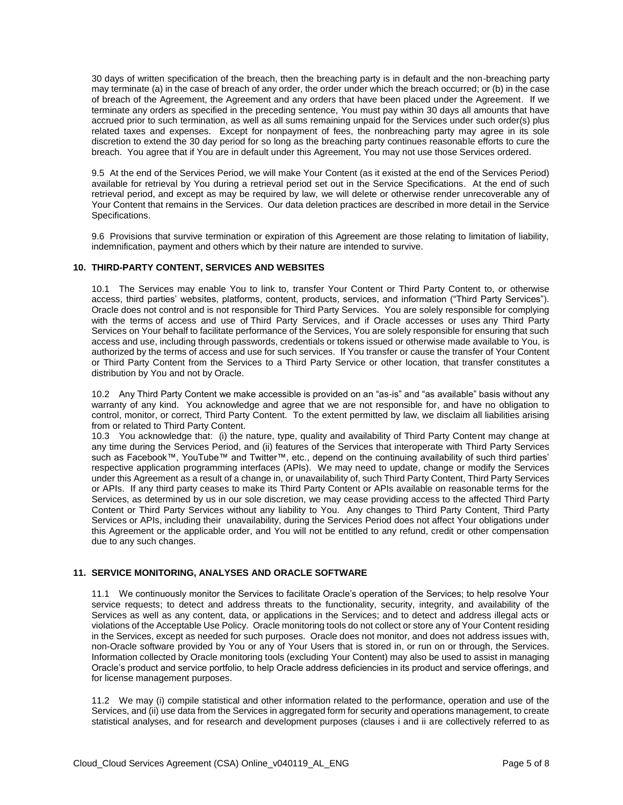30 days of written specification of the breach, then the breaching party is in default and the non-breaching party may terminate (a) in the case of breach of any order, the order under which the breach occurred; or (b) in the case of breach of the Agreement, the Agreement and any orders that have been placed under the Agreement. If we terminate any orders as specified in the preceding sentence, You must pay within 30 days all amounts that have accrued prior to such termination, as well as all sums remaining unpaid for the Services under such order(s) plus related taxes and expenses. Except for nonpayment of fees, the nonbreaching party may agree in its sole discretion to extend the 30 day period for so long as the breaching party continues reasonable efforts to cure the breach. You agree that if You are in default under this Agreement, You may not use those Services ordered.

9.5 At the end of the Services Period, we will make Your Content (as it existed at the end of the Services Period) available for retrieval by You during a retrieval period set out in the Service Specifications. At the end of such retrieval period, and except as may be required by law, we will delete or otherwise render unrecoverable any of Your Content that remains in the Services. Our data deletion practices are described in more detail in the Service Specifications.

9.6 Provisions that survive termination or expiration of this Agreement are those relating to limitation of liability, indemnification, payment and others which by their nature are intended to survive.

#### **10. THIRD-PARTY CONTENT, SERVICES AND WEBSITES**

10.1 The Services may enable You to link to, transfer Your Content or Third Party Content to, or otherwise access, third parties' websites, platforms, content, products, services, and information ("Third Party Services"). Oracle does not control and is not responsible for Third Party Services. You are solely responsible for complying with the terms of access and use of Third Party Services, and if Oracle accesses or uses any Third Party Services on Your behalf to facilitate performance of the Services, You are solely responsible for ensuring that such access and use, including through passwords, credentials or tokens issued or otherwise made available to You, is authorized by the terms of access and use for such services. If You transfer or cause the transfer of Your Content or Third Party Content from the Services to a Third Party Service or other location, that transfer constitutes a distribution by You and not by Oracle.

10.2 Any Third Party Content we make accessible is provided on an "as-is" and "as available" basis without any warranty of any kind. You acknowledge and agree that we are not responsible for, and have no obligation to control, monitor, or correct, Third Party Content. To the extent permitted by law, we disclaim all liabilities arising from or related to Third Party Content.

10.3 You acknowledge that: (i) the nature, type, quality and availability of Third Party Content may change at any time during the Services Period, and (ii) features of the Services that interoperate with Third Party Services such as Facebook™, YouTube™ and Twitter™, etc., depend on the continuing availability of such third parties' respective application programming interfaces (APIs). We may need to update, change or modify the Services under this Agreement as a result of a change in, or unavailability of, such Third Party Content, Third Party Services or APIs. If any third party ceases to make its Third Party Content or APIs available on reasonable terms for the Services, as determined by us in our sole discretion, we may cease providing access to the affected Third Party Content or Third Party Services without any liability to You. Any changes to Third Party Content, Third Party Services or APIs, including their unavailability, during the Services Period does not affect Your obligations under this Agreement or the applicable order, and You will not be entitled to any refund, credit or other compensation due to any such changes.

#### **11. SERVICE MONITORING, ANALYSES AND ORACLE SOFTWARE**

11.1 We continuously monitor the Services to facilitate Oracle's operation of the Services; to help resolve Your service requests; to detect and address threats to the functionality, security, integrity, and availability of the Services as well as any content, data, or applications in the Services; and to detect and address illegal acts or violations of the Acceptable Use Policy. Oracle monitoring tools do not collect or store any of Your Content residing in the Services, except as needed for such purposes. Oracle does not monitor, and does not address issues with, non-Oracle software provided by You or any of Your Users that is stored in, or run on or through, the Services. Information collected by Oracle monitoring tools (excluding Your Content) may also be used to assist in managing Oracle's product and service portfolio, to help Oracle address deficiencies in its product and service offerings, and for license management purposes.

11.2 We may (i) compile statistical and other information related to the performance, operation and use of the Services, and (ii) use data from the Services in aggregated form for security and operations management, to create statistical analyses, and for research and development purposes (clauses i and ii are collectively referred to as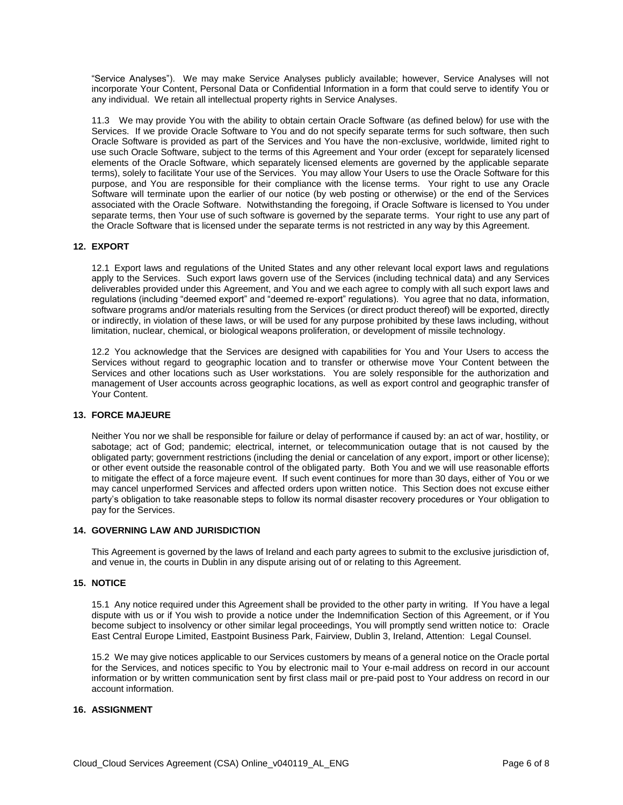"Service Analyses"). We may make Service Analyses publicly available; however, Service Analyses will not incorporate Your Content, Personal Data or Confidential Information in a form that could serve to identify You or any individual. We retain all intellectual property rights in Service Analyses.

11.3 We may provide You with the ability to obtain certain Oracle Software (as defined below) for use with the Services. If we provide Oracle Software to You and do not specify separate terms for such software, then such Oracle Software is provided as part of the Services and You have the non-exclusive, worldwide, limited right to use such Oracle Software, subject to the terms of this Agreement and Your order (except for separately licensed elements of the Oracle Software, which separately licensed elements are governed by the applicable separate terms), solely to facilitate Your use of the Services. You may allow Your Users to use the Oracle Software for this purpose, and You are responsible for their compliance with the license terms. Your right to use any Oracle Software will terminate upon the earlier of our notice (by web posting or otherwise) or the end of the Services associated with the Oracle Software. Notwithstanding the foregoing, if Oracle Software is licensed to You under separate terms, then Your use of such software is governed by the separate terms. Your right to use any part of the Oracle Software that is licensed under the separate terms is not restricted in any way by this Agreement.

# **12. EXPORT**

12.1 Export laws and regulations of the United States and any other relevant local export laws and regulations apply to the Services. Such export laws govern use of the Services (including technical data) and any Services deliverables provided under this Agreement, and You and we each agree to comply with all such export laws and regulations (including "deemed export" and "deemed re-export" regulations). You agree that no data, information, software programs and/or materials resulting from the Services (or direct product thereof) will be exported, directly or indirectly, in violation of these laws, or will be used for any purpose prohibited by these laws including, without limitation, nuclear, chemical, or biological weapons proliferation, or development of missile technology.

12.2 You acknowledge that the Services are designed with capabilities for You and Your Users to access the Services without regard to geographic location and to transfer or otherwise move Your Content between the Services and other locations such as User workstations. You are solely responsible for the authorization and management of User accounts across geographic locations, as well as export control and geographic transfer of Your Content.

#### **13. FORCE MAJEURE**

Neither You nor we shall be responsible for failure or delay of performance if caused by: an act of war, hostility, or sabotage; act of God; pandemic; electrical, internet, or telecommunication outage that is not caused by the obligated party; government restrictions (including the denial or cancelation of any export, import or other license); or other event outside the reasonable control of the obligated party. Both You and we will use reasonable efforts to mitigate the effect of a force majeure event. If such event continues for more than 30 days, either of You or we may cancel unperformed Services and affected orders upon written notice. This Section does not excuse either party's obligation to take reasonable steps to follow its normal disaster recovery procedures or Your obligation to pay for the Services.

#### **14. GOVERNING LAW AND JURISDICTION**

This Agreement is governed by the laws of Ireland and each party agrees to submit to the exclusive jurisdiction of, and venue in, the courts in Dublin in any dispute arising out of or relating to this Agreement.

#### **15. NOTICE**

15.1 Any notice required under this Agreement shall be provided to the other party in writing. If You have a legal dispute with us or if You wish to provide a notice under the Indemnification Section of this Agreement, or if You become subject to insolvency or other similar legal proceedings, You will promptly send written notice to: Oracle East Central Europe Limited, Eastpoint Business Park, Fairview, Dublin 3, Ireland, Attention: Legal Counsel.

15.2 We may give notices applicable to our Services customers by means of a general notice on the Oracle portal for the Services, and notices specific to You by electronic mail to Your e-mail address on record in our account information or by written communication sent by first class mail or pre-paid post to Your address on record in our account information.

# **16. ASSIGNMENT**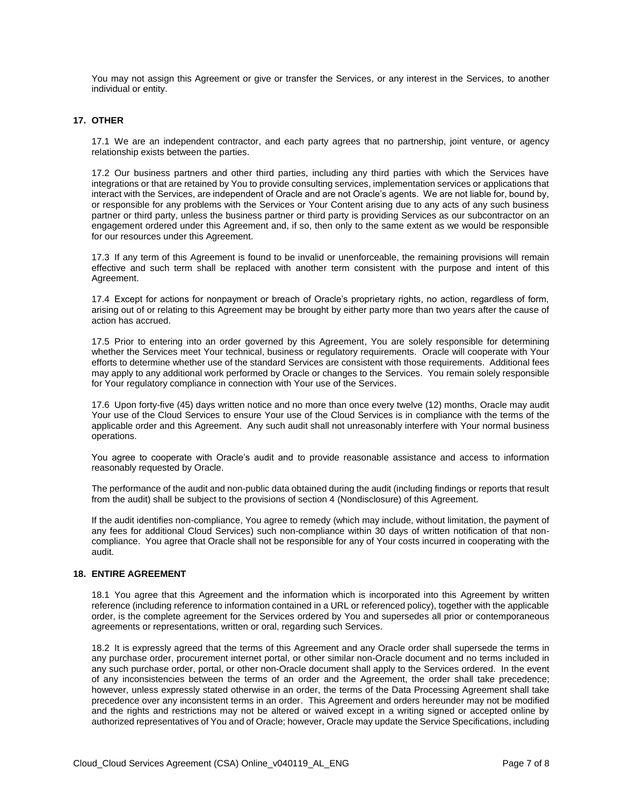You may not assign this Agreement or give or transfer the Services, or any interest in the Services, to another individual or entity.

# **17. OTHER**

17.1 We are an independent contractor, and each party agrees that no partnership, joint venture, or agency relationship exists between the parties.

17.2 Our business partners and other third parties, including any third parties with which the Services have integrations or that are retained by You to provide consulting services, implementation services or applications that interact with the Services, are independent of Oracle and are not Oracle's agents. We are not liable for, bound by, or responsible for any problems with the Services or Your Content arising due to any acts of any such business partner or third party, unless the business partner or third party is providing Services as our subcontractor on an engagement ordered under this Agreement and, if so, then only to the same extent as we would be responsible for our resources under this Agreement.

17.3 If any term of this Agreement is found to be invalid or unenforceable, the remaining provisions will remain effective and such term shall be replaced with another term consistent with the purpose and intent of this Agreement.

17.4 Except for actions for nonpayment or breach of Oracle's proprietary rights, no action, regardless of form, arising out of or relating to this Agreement may be brought by either party more than two years after the cause of action has accrued.

17.5 Prior to entering into an order governed by this Agreement, You are solely responsible for determining whether the Services meet Your technical, business or regulatory requirements. Oracle will cooperate with Your efforts to determine whether use of the standard Services are consistent with those requirements. Additional fees may apply to any additional work performed by Oracle or changes to the Services. You remain solely responsible for Your regulatory compliance in connection with Your use of the Services.

17.6 Upon forty-five (45) days written notice and no more than once every twelve (12) months, Oracle may audit Your use of the Cloud Services to ensure Your use of the Cloud Services is in compliance with the terms of the applicable order and this Agreement. Any such audit shall not unreasonably interfere with Your normal business operations.

You agree to cooperate with Oracle's audit and to provide reasonable assistance and access to information reasonably requested by Oracle.

The performance of the audit and non-public data obtained during the audit (including findings or reports that result from the audit) shall be subject to the provisions of section 4 (Nondisclosure) of this Agreement.

If the audit identifies non-compliance, You agree to remedy (which may include, without limitation, the payment of any fees for additional Cloud Services) such non-compliance within 30 days of written notification of that noncompliance. You agree that Oracle shall not be responsible for any of Your costs incurred in cooperating with the audit.

#### **18. ENTIRE AGREEMENT**

18.1 You agree that this Agreement and the information which is incorporated into this Agreement by written reference (including reference to information contained in a URL or referenced policy), together with the applicable order, is the complete agreement for the Services ordered by You and supersedes all prior or contemporaneous agreements or representations, written or oral, regarding such Services.

18.2 It is expressly agreed that the terms of this Agreement and any Oracle order shall supersede the terms in any purchase order, procurement internet portal, or other similar non-Oracle document and no terms included in any such purchase order, portal, or other non-Oracle document shall apply to the Services ordered. In the event of any inconsistencies between the terms of an order and the Agreement, the order shall take precedence; however, unless expressly stated otherwise in an order, the terms of the Data Processing Agreement shall take precedence over any inconsistent terms in an order. This Agreement and orders hereunder may not be modified and the rights and restrictions may not be altered or waived except in a writing signed or accepted online by authorized representatives of You and of Oracle; however, Oracle may update the Service Specifications, including